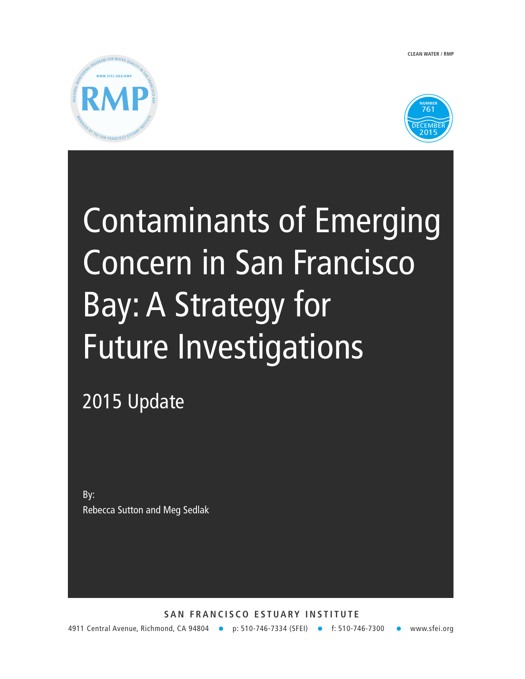**CLEAN WATER / RMP**





# Contaminants of Emerging Concern in San Francisco Bay: A Strategy for Future Investigations

# 2015 Update

By: Rebecca Sutton and Meg Sedlak

**SAN FRANCISCO ESTUARY INSTITUTE**  4911 Central Avenue, Richmond, CA 94804 • p: 510-746-7334 (SFEI) • f: 510-746-7300 • www.sfei.org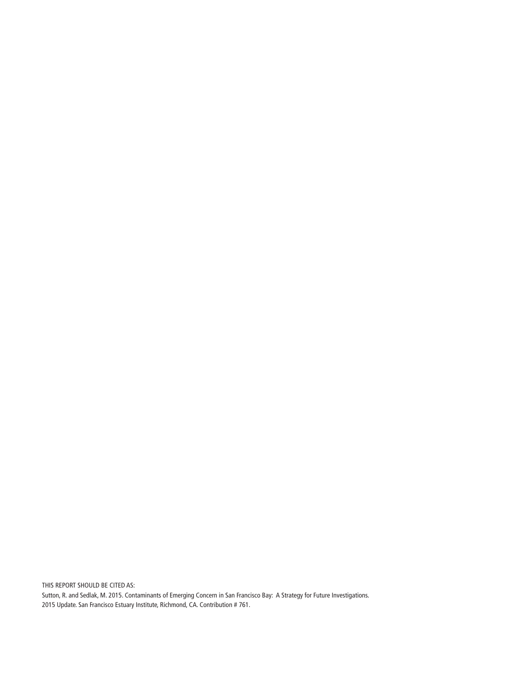THIS REPORT SHOULD BE CITED AS: Sutton, R. and Sedlak, M. 2015. Contaminants of Emerging Concern in San Francisco Bay: A Strategy for Future Investigations. 2015 Update. San Francisco Estuary Institute, Richmond, CA. Contribution # 761.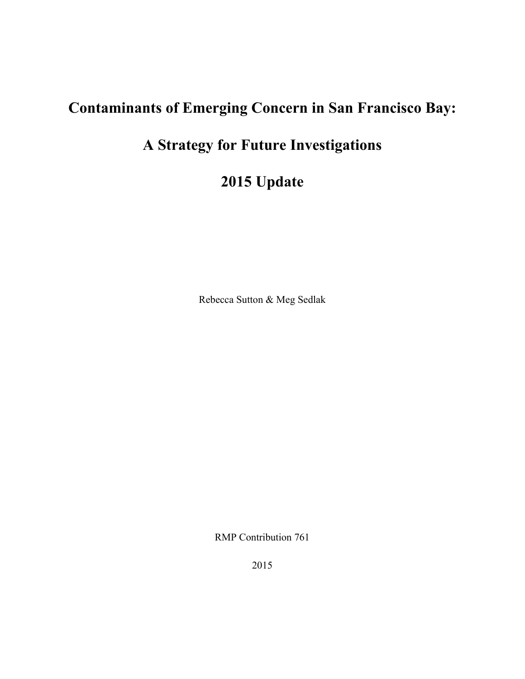# **Contaminants of Emerging Concern in San Francisco Bay:**

# **A Strategy for Future Investigations**

**2015 Update**

Rebecca Sutton & Meg Sedlak

RMP Contribution 761

2015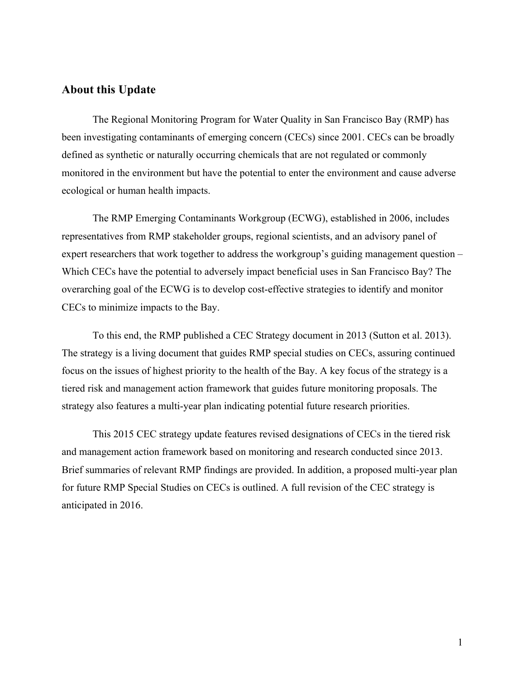#### **About this Update**

The Regional Monitoring Program for Water Quality in San Francisco Bay (RMP) has been investigating contaminants of emerging concern (CECs) since 2001. CECs can be broadly defined as synthetic or naturally occurring chemicals that are not regulated or commonly monitored in the environment but have the potential to enter the environment and cause adverse ecological or human health impacts.

The RMP Emerging Contaminants Workgroup (ECWG), established in 2006, includes representatives from RMP stakeholder groups, regional scientists, and an advisory panel of expert researchers that work together to address the workgroup's guiding management question – Which CECs have the potential to adversely impact beneficial uses in San Francisco Bay? The overarching goal of the ECWG is to develop cost-effective strategies to identify and monitor CECs to minimize impacts to the Bay.

To this end, the RMP published a CEC Strategy document in 2013 (Sutton et al. 2013). The strategy is a living document that guides RMP special studies on CECs, assuring continued focus on the issues of highest priority to the health of the Bay. A key focus of the strategy is a tiered risk and management action framework that guides future monitoring proposals. The strategy also features a multi-year plan indicating potential future research priorities.

This 2015 CEC strategy update features revised designations of CECs in the tiered risk and management action framework based on monitoring and research conducted since 2013. Brief summaries of relevant RMP findings are provided. In addition, a proposed multi-year plan for future RMP Special Studies on CECs is outlined. A full revision of the CEC strategy is anticipated in 2016.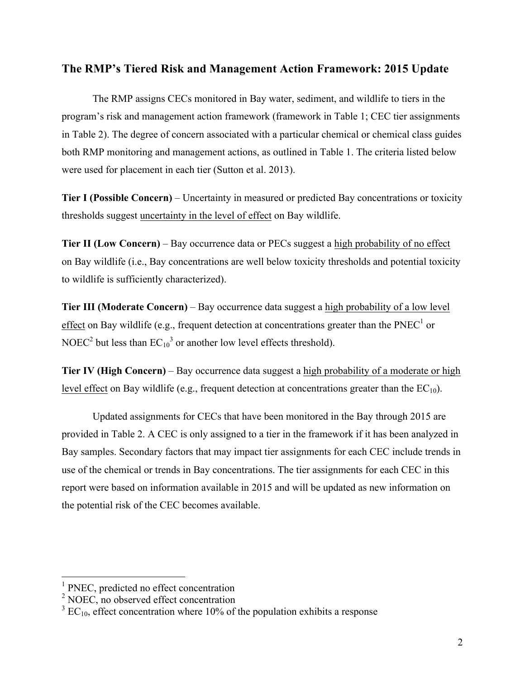#### **The RMP's Tiered Risk and Management Action Framework: 2015 Update**

The RMP assigns CECs monitored in Bay water, sediment, and wildlife to tiers in the program's risk and management action framework (framework in Table 1; CEC tier assignments in Table 2). The degree of concern associated with a particular chemical or chemical class guides both RMP monitoring and management actions, as outlined in Table 1. The criteria listed below were used for placement in each tier (Sutton et al. 2013).

**Tier I (Possible Concern)** – Uncertainty in measured or predicted Bay concentrations or toxicity thresholds suggest uncertainty in the level of effect on Bay wildlife.

**Tier II (Low Concern)** – Bay occurrence data or PECs suggest a high probability of no effect on Bay wildlife (i.e., Bay concentrations are well below toxicity thresholds and potential toxicity to wildlife is sufficiently characterized).

**Tier III (Moderate Concern)** – Bay occurrence data suggest a high probability of a low level effect on Bay wildlife (e.g., frequent detection at concentrations greater than the PNEC<sup>1</sup> or NOEC<sup>2</sup> but less than  $EC_{10}^3$  or another low level effects threshold).

**Tier IV (High Concern)** – Bay occurrence data suggest a high probability of a moderate or high level effect on Bay wildlife (e.g., frequent detection at concentrations greater than the  $EC_{10}$ ).

Updated assignments for CECs that have been monitored in the Bay through 2015 are provided in Table 2. A CEC is only assigned to a tier in the framework if it has been analyzed in Bay samples. Secondary factors that may impact tier assignments for each CEC include trends in use of the chemical or trends in Bay concentrations. The tier assignments for each CEC in this report were based on information available in 2015 and will be updated as new information on the potential risk of the CEC becomes available.

<sup>&</sup>lt;sup>1</sup> PNEC, predicted no effect concentration

 $2$  NOEC, no observed effect concentration

 $3 \text{ EC}_{10}$ , effect concentration where 10% of the population exhibits a response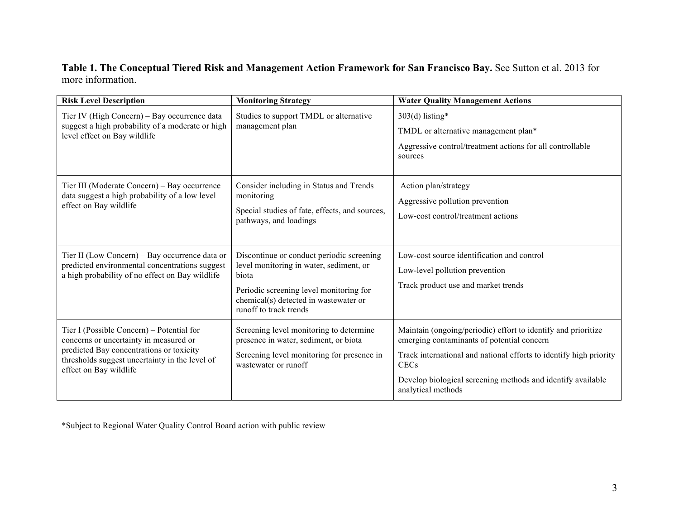#### **Table 1. The Conceptual Tiered Risk and Management Action Framework for San Francisco Bay.** See Sutton et al. 2013 for more information.

| <b>Risk Level Description</b>                                                                                                                                                                               | <b>Monitoring Strategy</b>                                                                                                                                                                                  | <b>Water Quality Management Actions</b>                                                                                                                                                                                                                                               |  |  |  |
|-------------------------------------------------------------------------------------------------------------------------------------------------------------------------------------------------------------|-------------------------------------------------------------------------------------------------------------------------------------------------------------------------------------------------------------|---------------------------------------------------------------------------------------------------------------------------------------------------------------------------------------------------------------------------------------------------------------------------------------|--|--|--|
| Tier IV (High Concern) - Bay occurrence data<br>suggest a high probability of a moderate or high<br>level effect on Bay wildlife                                                                            | Studies to support TMDL or alternative<br>management plan                                                                                                                                                   | $303(d)$ listing*<br>TMDL or alternative management plan*<br>Aggressive control/treatment actions for all controllable<br>sources                                                                                                                                                     |  |  |  |
| Tier III (Moderate Concern) – Bay occurrence<br>data suggest a high probability of a low level<br>effect on Bay wildlife                                                                                    | Consider including in Status and Trends<br>monitoring<br>Special studies of fate, effects, and sources,<br>pathways, and loadings                                                                           | Action plan/strategy<br>Aggressive pollution prevention<br>Low-cost control/treatment actions                                                                                                                                                                                         |  |  |  |
| Tier II (Low Concern) – Bay occurrence data or<br>predicted environmental concentrations suggest<br>a high probability of no effect on Bay wildlife                                                         | Discontinue or conduct periodic screening<br>level monitoring in water, sediment, or<br>biota<br>Periodic screening level monitoring for<br>chemical(s) detected in wastewater or<br>runoff to track trends | Low-cost source identification and control<br>Low-level pollution prevention<br>Track product use and market trends                                                                                                                                                                   |  |  |  |
| Tier I (Possible Concern) – Potential for<br>concerns or uncertainty in measured or<br>predicted Bay concentrations or toxicity<br>thresholds suggest uncertainty in the level of<br>effect on Bay wildlife | Screening level monitoring to determine<br>presence in water, sediment, or biota<br>Screening level monitoring for presence in<br>wastewater or runoff                                                      | Maintain (ongoing/periodic) effort to identify and prioritize<br>emerging contaminants of potential concern<br>Track international and national efforts to identify high priority<br><b>CECs</b><br>Develop biological screening methods and identify available<br>analytical methods |  |  |  |

\*Subject to Regional Water Quality Control Board action with public review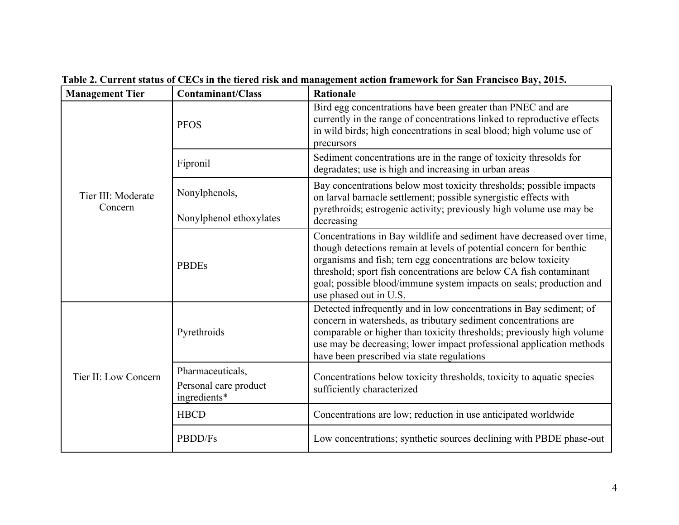| <b>Management Tier</b>        | <b>Contaminant/Class</b>                                  | <b>Rationale</b>                                                                                                                                                                                                                                                                                                                                                                      |  |  |  |  |
|-------------------------------|-----------------------------------------------------------|---------------------------------------------------------------------------------------------------------------------------------------------------------------------------------------------------------------------------------------------------------------------------------------------------------------------------------------------------------------------------------------|--|--|--|--|
| Tier III: Moderate<br>Concern | <b>PFOS</b>                                               | Bird egg concentrations have been greater than PNEC and are<br>currently in the range of concentrations linked to reproductive effects<br>in wild birds; high concentrations in seal blood; high volume use of<br>precursors                                                                                                                                                          |  |  |  |  |
|                               | Fipronil                                                  | Sediment concentrations are in the range of toxicity thresolds for<br>degradates; use is high and increasing in urban areas                                                                                                                                                                                                                                                           |  |  |  |  |
|                               | Nonylphenols,<br>Nonylphenol ethoxylates                  | Bay concentrations below most toxicity thresholds; possible impacts<br>on larval barnacle settlement; possible synergistic effects with<br>pyrethroids; estrogenic activity; previously high volume use may be<br>decreasing                                                                                                                                                          |  |  |  |  |
|                               | <b>PBDEs</b>                                              | Concentrations in Bay wildlife and sediment have decreased over time,<br>though detections remain at levels of potential concern for benthic<br>organisms and fish; tern egg concentrations are below toxicity<br>threshold; sport fish concentrations are below CA fish contaminant<br>goal; possible blood/immune system impacts on seals; production and<br>use phased out in U.S. |  |  |  |  |
|                               | Pyrethroids                                               | Detected infrequently and in low concentrations in Bay sediment; of<br>concern in watersheds, as tributary sediment concentrations are<br>comparable or higher than toxicity thresholds; previously high volume<br>use may be decreasing; lower impact professional application methods<br>have been prescribed via state regulations                                                 |  |  |  |  |
| Tier II: Low Concern          | Pharmaceuticals,<br>Personal care product<br>ingredients* | Concentrations below toxicity thresholds, toxicity to aquatic species<br>sufficiently characterized                                                                                                                                                                                                                                                                                   |  |  |  |  |
|                               | <b>HBCD</b>                                               | Concentrations are low; reduction in use anticipated worldwide                                                                                                                                                                                                                                                                                                                        |  |  |  |  |
|                               | PBDD/Fs                                                   | Low concentrations; synthetic sources declining with PBDE phase-out                                                                                                                                                                                                                                                                                                                   |  |  |  |  |

**Table 2. Current status of CECs in the tiered risk and management action framework for San Francisco Bay, 2015.**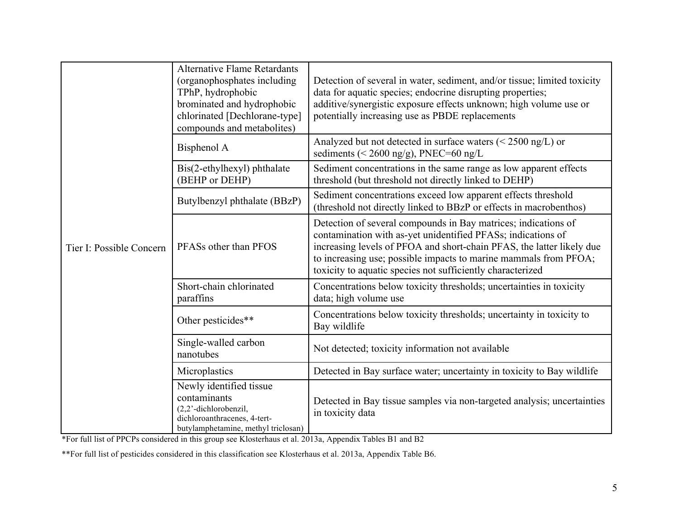|                          | <b>Alternative Flame Retardants</b><br>(organophosphates including<br>TPhP, hydrophobic<br>brominated and hydrophobic<br>chlorinated [Dechlorane-type]<br>compounds and metabolites) | Detection of several in water, sediment, and/or tissue; limited toxicity<br>data for aquatic species; endocrine disrupting properties;<br>additive/synergistic exposure effects unknown; high volume use or<br>potentially increasing use as PBDE replacements                                                                            |  |  |  |  |  |  |
|--------------------------|--------------------------------------------------------------------------------------------------------------------------------------------------------------------------------------|-------------------------------------------------------------------------------------------------------------------------------------------------------------------------------------------------------------------------------------------------------------------------------------------------------------------------------------------|--|--|--|--|--|--|
|                          | Bisphenol A                                                                                                                                                                          | Analyzed but not detected in surface waters $(< 2500$ ng/L) or<br>sediments (< 2600 ng/g), PNEC=60 ng/L                                                                                                                                                                                                                                   |  |  |  |  |  |  |
|                          | Bis(2-ethylhexyl) phthalate<br>(BEHP or DEHP)                                                                                                                                        | Sediment concentrations in the same range as low apparent effects<br>threshold (but threshold not directly linked to DEHP)                                                                                                                                                                                                                |  |  |  |  |  |  |
|                          | Butylbenzyl phthalate (BBzP)                                                                                                                                                         | Sediment concentrations exceed low apparent effects threshold<br>(threshold not directly linked to BBzP or effects in macrobenthos)                                                                                                                                                                                                       |  |  |  |  |  |  |
| Tier I: Possible Concern | PFASs other than PFOS                                                                                                                                                                | Detection of several compounds in Bay matrices; indications of<br>contamination with as-yet unidentified PFASs; indications of<br>increasing levels of PFOA and short-chain PFAS, the latter likely due<br>to increasing use; possible impacts to marine mammals from PFOA;<br>toxicity to aquatic species not sufficiently characterized |  |  |  |  |  |  |
|                          | Short-chain chlorinated<br>paraffins                                                                                                                                                 | Concentrations below toxicity thresholds; uncertainties in toxicity<br>data; high volume use                                                                                                                                                                                                                                              |  |  |  |  |  |  |
|                          | Other pesticides**                                                                                                                                                                   | Concentrations below toxicity thresholds; uncertainty in toxicity to<br>Bay wildlife                                                                                                                                                                                                                                                      |  |  |  |  |  |  |
|                          | Single-walled carbon<br>nanotubes                                                                                                                                                    | Not detected; toxicity information not available                                                                                                                                                                                                                                                                                          |  |  |  |  |  |  |
|                          | Microplastics                                                                                                                                                                        | Detected in Bay surface water; uncertainty in toxicity to Bay wildlife                                                                                                                                                                                                                                                                    |  |  |  |  |  |  |
|                          | Newly identified tissue<br>contaminants<br>(2,2'-dichlorobenzil,<br>dichloroanthracenes, 4-tert-<br>butylamphetamine, methyl triclosan)                                              | Detected in Bay tissue samples via non-targeted analysis; uncertainties<br>in toxicity data                                                                                                                                                                                                                                               |  |  |  |  |  |  |

\*For full list of PPCPs considered in this group see Klosterhaus et al. 2013a, Appendix Tables B1 and B2

\*\*For full list of pesticides considered in this classification see Klosterhaus et al. 2013a, Appendix Table B6.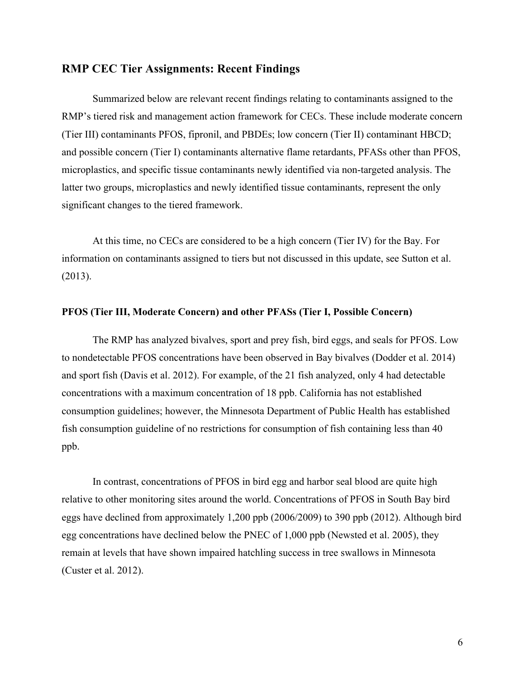#### **RMP CEC Tier Assignments: Recent Findings**

Summarized below are relevant recent findings relating to contaminants assigned to the RMP's tiered risk and management action framework for CECs. These include moderate concern (Tier III) contaminants PFOS, fipronil, and PBDEs; low concern (Tier II) contaminant HBCD; and possible concern (Tier I) contaminants alternative flame retardants, PFASs other than PFOS, microplastics, and specific tissue contaminants newly identified via non-targeted analysis. The latter two groups, microplastics and newly identified tissue contaminants, represent the only significant changes to the tiered framework.

At this time, no CECs are considered to be a high concern (Tier IV) for the Bay. For information on contaminants assigned to tiers but not discussed in this update, see Sutton et al. (2013).

#### **PFOS (Tier III, Moderate Concern) and other PFASs (Tier I, Possible Concern)**

The RMP has analyzed bivalves, sport and prey fish, bird eggs, and seals for PFOS. Low to nondetectable PFOS concentrations have been observed in Bay bivalves (Dodder et al. 2014) and sport fish (Davis et al. 2012). For example, of the 21 fish analyzed, only 4 had detectable concentrations with a maximum concentration of 18 ppb. California has not established consumption guidelines; however, the Minnesota Department of Public Health has established fish consumption guideline of no restrictions for consumption of fish containing less than 40 ppb.

In contrast, concentrations of PFOS in bird egg and harbor seal blood are quite high relative to other monitoring sites around the world. Concentrations of PFOS in South Bay bird eggs have declined from approximately 1,200 ppb (2006/2009) to 390 ppb (2012). Although bird egg concentrations have declined below the PNEC of 1,000 ppb (Newsted et al. 2005), they remain at levels that have shown impaired hatchling success in tree swallows in Minnesota (Custer et al. 2012).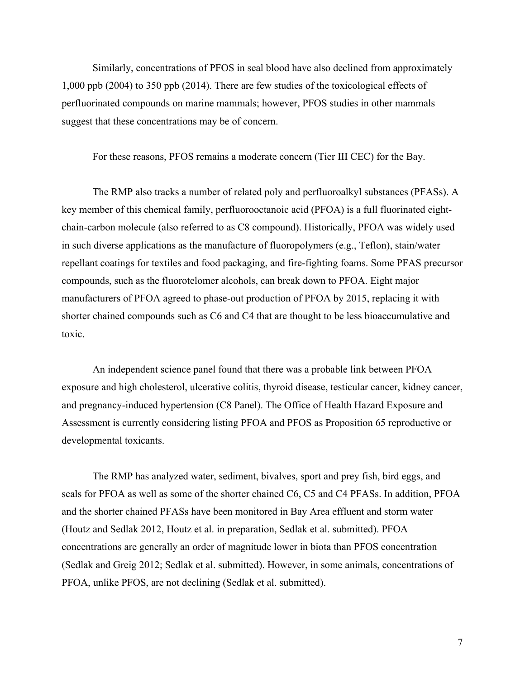Similarly, concentrations of PFOS in seal blood have also declined from approximately 1,000 ppb (2004) to 350 ppb (2014). There are few studies of the toxicological effects of perfluorinated compounds on marine mammals; however, PFOS studies in other mammals suggest that these concentrations may be of concern.

For these reasons, PFOS remains a moderate concern (Tier III CEC) for the Bay.

The RMP also tracks a number of related poly and perfluoroalkyl substances (PFASs). A key member of this chemical family, perfluorooctanoic acid (PFOA) is a full fluorinated eightchain-carbon molecule (also referred to as C8 compound). Historically, PFOA was widely used in such diverse applications as the manufacture of fluoropolymers (e.g., Teflon), stain/water repellant coatings for textiles and food packaging, and fire-fighting foams. Some PFAS precursor compounds, such as the fluorotelomer alcohols, can break down to PFOA. Eight major manufacturers of PFOA agreed to phase-out production of PFOA by 2015, replacing it with shorter chained compounds such as C6 and C4 that are thought to be less bioaccumulative and toxic.

An independent science panel found that there was a probable link between PFOA exposure and high cholesterol, ulcerative colitis, thyroid disease, testicular cancer, kidney cancer, and pregnancy-induced hypertension (C8 Panel). The Office of Health Hazard Exposure and Assessment is currently considering listing PFOA and PFOS as Proposition 65 reproductive or developmental toxicants.

The RMP has analyzed water, sediment, bivalves, sport and prey fish, bird eggs, and seals for PFOA as well as some of the shorter chained C6, C5 and C4 PFASs. In addition, PFOA and the shorter chained PFASs have been monitored in Bay Area effluent and storm water (Houtz and Sedlak 2012, Houtz et al. in preparation, Sedlak et al. submitted). PFOA concentrations are generally an order of magnitude lower in biota than PFOS concentration (Sedlak and Greig 2012; Sedlak et al. submitted). However, in some animals, concentrations of PFOA, unlike PFOS, are not declining (Sedlak et al. submitted).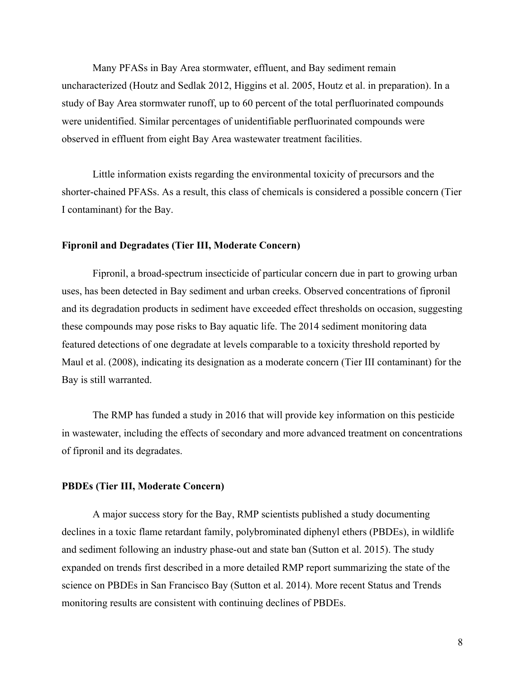Many PFASs in Bay Area stormwater, effluent, and Bay sediment remain uncharacterized (Houtz and Sedlak 2012, Higgins et al. 2005, Houtz et al. in preparation). In a study of Bay Area stormwater runoff, up to 60 percent of the total perfluorinated compounds were unidentified. Similar percentages of unidentifiable perfluorinated compounds were observed in effluent from eight Bay Area wastewater treatment facilities.

Little information exists regarding the environmental toxicity of precursors and the shorter-chained PFASs. As a result, this class of chemicals is considered a possible concern (Tier I contaminant) for the Bay.

#### **Fipronil and Degradates (Tier III, Moderate Concern)**

Fipronil, a broad-spectrum insecticide of particular concern due in part to growing urban uses, has been detected in Bay sediment and urban creeks. Observed concentrations of fipronil and its degradation products in sediment have exceeded effect thresholds on occasion, suggesting these compounds may pose risks to Bay aquatic life. The 2014 sediment monitoring data featured detections of one degradate at levels comparable to a toxicity threshold reported by Maul et al. (2008), indicating its designation as a moderate concern (Tier III contaminant) for the Bay is still warranted.

The RMP has funded a study in 2016 that will provide key information on this pesticide in wastewater, including the effects of secondary and more advanced treatment on concentrations of fipronil and its degradates.

#### **PBDEs (Tier III, Moderate Concern)**

A major success story for the Bay, RMP scientists published a study documenting declines in a toxic flame retardant family, polybrominated diphenyl ethers (PBDEs), in wildlife and sediment following an industry phase-out and state ban (Sutton et al. 2015). The study expanded on trends first described in a more detailed RMP report summarizing the state of the science on PBDEs in San Francisco Bay (Sutton et al. 2014). More recent Status and Trends monitoring results are consistent with continuing declines of PBDEs.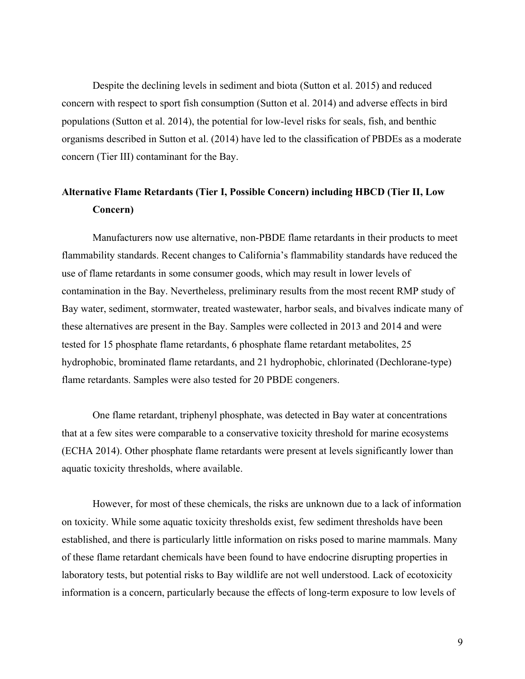Despite the declining levels in sediment and biota (Sutton et al. 2015) and reduced concern with respect to sport fish consumption (Sutton et al. 2014) and adverse effects in bird populations (Sutton et al. 2014), the potential for low-level risks for seals, fish, and benthic organisms described in Sutton et al. (2014) have led to the classification of PBDEs as a moderate concern (Tier III) contaminant for the Bay.

### **Alternative Flame Retardants (Tier I, Possible Concern) including HBCD (Tier II, Low Concern)**

Manufacturers now use alternative, non-PBDE flame retardants in their products to meet flammability standards. Recent changes to California's flammability standards have reduced the use of flame retardants in some consumer goods, which may result in lower levels of contamination in the Bay. Nevertheless, preliminary results from the most recent RMP study of Bay water, sediment, stormwater, treated wastewater, harbor seals, and bivalves indicate many of these alternatives are present in the Bay. Samples were collected in 2013 and 2014 and were tested for 15 phosphate flame retardants, 6 phosphate flame retardant metabolites, 25 hydrophobic, brominated flame retardants, and 21 hydrophobic, chlorinated (Dechlorane-type) flame retardants. Samples were also tested for 20 PBDE congeners.

One flame retardant, triphenyl phosphate, was detected in Bay water at concentrations that at a few sites were comparable to a conservative toxicity threshold for marine ecosystems (ECHA 2014). Other phosphate flame retardants were present at levels significantly lower than aquatic toxicity thresholds, where available.

However, for most of these chemicals, the risks are unknown due to a lack of information on toxicity. While some aquatic toxicity thresholds exist, few sediment thresholds have been established, and there is particularly little information on risks posed to marine mammals. Many of these flame retardant chemicals have been found to have endocrine disrupting properties in laboratory tests, but potential risks to Bay wildlife are not well understood. Lack of ecotoxicity information is a concern, particularly because the effects of long-term exposure to low levels of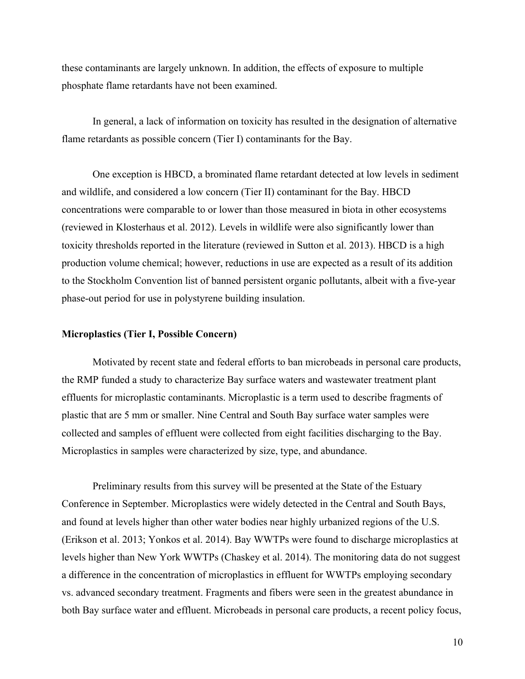these contaminants are largely unknown. In addition, the effects of exposure to multiple phosphate flame retardants have not been examined.

In general, a lack of information on toxicity has resulted in the designation of alternative flame retardants as possible concern (Tier I) contaminants for the Bay.

One exception is HBCD, a brominated flame retardant detected at low levels in sediment and wildlife, and considered a low concern (Tier II) contaminant for the Bay. HBCD concentrations were comparable to or lower than those measured in biota in other ecosystems (reviewed in Klosterhaus et al. 2012). Levels in wildlife were also significantly lower than toxicity thresholds reported in the literature (reviewed in Sutton et al. 2013). HBCD is a high production volume chemical; however, reductions in use are expected as a result of its addition to the Stockholm Convention list of banned persistent organic pollutants, albeit with a five-year phase-out period for use in polystyrene building insulation.

#### **Microplastics (Tier I, Possible Concern)**

Motivated by recent state and federal efforts to ban microbeads in personal care products, the RMP funded a study to characterize Bay surface waters and wastewater treatment plant effluents for microplastic contaminants. Microplastic is a term used to describe fragments of plastic that are 5 mm or smaller. Nine Central and South Bay surface water samples were collected and samples of effluent were collected from eight facilities discharging to the Bay. Microplastics in samples were characterized by size, type, and abundance.

Preliminary results from this survey will be presented at the State of the Estuary Conference in September. Microplastics were widely detected in the Central and South Bays, and found at levels higher than other water bodies near highly urbanized regions of the U.S. (Erikson et al. 2013; Yonkos et al. 2014). Bay WWTPs were found to discharge microplastics at levels higher than New York WWTPs (Chaskey et al. 2014). The monitoring data do not suggest a difference in the concentration of microplastics in effluent for WWTPs employing secondary vs. advanced secondary treatment. Fragments and fibers were seen in the greatest abundance in both Bay surface water and effluent. Microbeads in personal care products, a recent policy focus,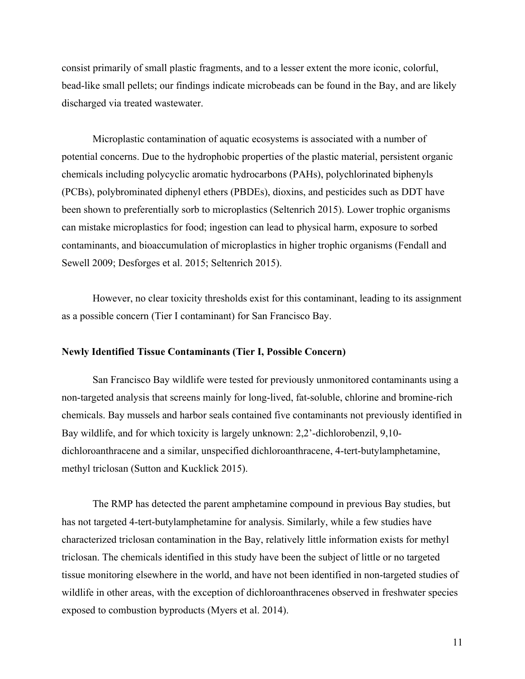consist primarily of small plastic fragments, and to a lesser extent the more iconic, colorful, bead-like small pellets; our findings indicate microbeads can be found in the Bay, and are likely discharged via treated wastewater.

Microplastic contamination of aquatic ecosystems is associated with a number of potential concerns. Due to the hydrophobic properties of the plastic material, persistent organic chemicals including polycyclic aromatic hydrocarbons (PAHs), polychlorinated biphenyls (PCBs), polybrominated diphenyl ethers (PBDEs), dioxins, and pesticides such as DDT have been shown to preferentially sorb to microplastics (Seltenrich 2015). Lower trophic organisms can mistake microplastics for food; ingestion can lead to physical harm, exposure to sorbed contaminants, and bioaccumulation of microplastics in higher trophic organisms (Fendall and Sewell 2009; Desforges et al. 2015; Seltenrich 2015).

However, no clear toxicity thresholds exist for this contaminant, leading to its assignment as a possible concern (Tier I contaminant) for San Francisco Bay.

#### **Newly Identified Tissue Contaminants (Tier I, Possible Concern)**

San Francisco Bay wildlife were tested for previously unmonitored contaminants using a non-targeted analysis that screens mainly for long-lived, fat-soluble, chlorine and bromine-rich chemicals. Bay mussels and harbor seals contained five contaminants not previously identified in Bay wildlife, and for which toxicity is largely unknown: 2,2'-dichlorobenzil, 9,10 dichloroanthracene and a similar, unspecified dichloroanthracene, 4-tert-butylamphetamine, methyl triclosan (Sutton and Kucklick 2015).

The RMP has detected the parent amphetamine compound in previous Bay studies, but has not targeted 4-tert-butylamphetamine for analysis. Similarly, while a few studies have characterized triclosan contamination in the Bay, relatively little information exists for methyl triclosan. The chemicals identified in this study have been the subject of little or no targeted tissue monitoring elsewhere in the world, and have not been identified in non-targeted studies of wildlife in other areas, with the exception of dichloroanthracenes observed in freshwater species exposed to combustion byproducts (Myers et al. 2014).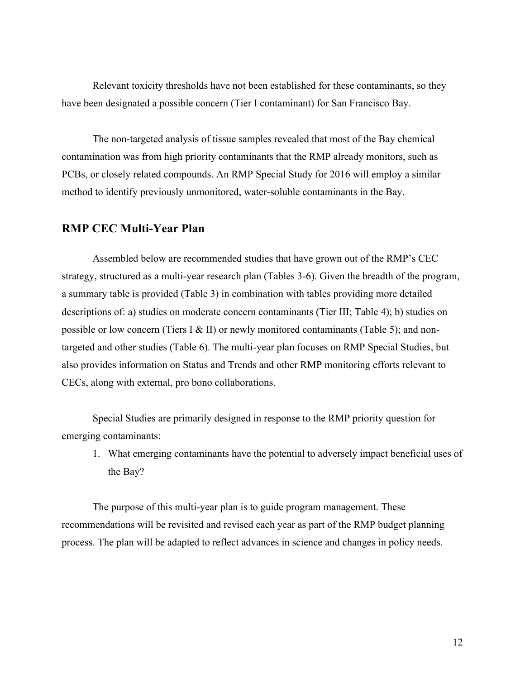Relevant toxicity thresholds have not been established for these contaminants, so they have been designated a possible concern (Tier I contaminant) for San Francisco Bay.

The non-targeted analysis of tissue samples revealed that most of the Bay chemical contamination was from high priority contaminants that the RMP already monitors, such as PCBs, or closely related compounds. An RMP Special Study for 2016 will employ a similar method to identify previously unmonitored, water-soluble contaminants in the Bay.

#### **RMP CEC Multi-Year Plan**

Assembled below are recommended studies that have grown out of the RMP's CEC strategy, structured as a multi-year research plan (Tables 3-6). Given the breadth of the program, a summary table is provided (Table 3) in combination with tables providing more detailed descriptions of: a) studies on moderate concern contaminants (Tier III; Table 4); b) studies on possible or low concern (Tiers I & II) or newly monitored contaminants (Table 5); and nontargeted and other studies (Table 6). The multi-year plan focuses on RMP Special Studies, but also provides information on Status and Trends and other RMP monitoring efforts relevant to CECs, along with external, pro bono collaborations.

Special Studies are primarily designed in response to the RMP priority question for emerging contaminants:

1. What emerging contaminants have the potential to adversely impact beneficial uses of the Bay?

The purpose of this multi-year plan is to guide program management. These recommendations will be revisited and revised each year as part of the RMP budget planning process. The plan will be adapted to reflect advances in science and changes in policy needs.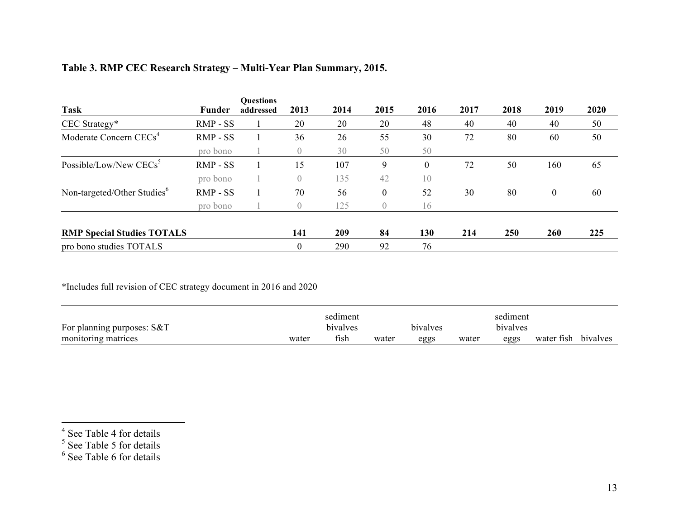| <b>Task</b>                             | <b>Funder</b> | <b>Questions</b><br>addressed | 2013           | 2014       | 2015             | 2016 | 2017 | 2018 | 2019             | 2020 |
|-----------------------------------------|---------------|-------------------------------|----------------|------------|------------------|------|------|------|------------------|------|
| CEC Strategy*                           | RMP - SS      |                               | 20             | 20         | 20               | 48   | 40   | 40   | 40               | 50   |
| Moderate Concern CECs <sup>4</sup>      | RMP - SS      |                               | 36             | 26         | 55               | 30   | 72   | 80   | 60               | 50   |
|                                         | pro bono      |                               | 0              | 30         | 50               | 50   |      |      |                  |      |
| Possible/Low/New CECs <sup>5</sup>      | $RMP - SS$    |                               | 15             | 107        | 9                | 0    | 72   | 50   | 160              | 65   |
|                                         | pro bono      |                               | $\overline{0}$ | 135        | 42               | 10   |      |      |                  |      |
| Non-targeted/Other Studies <sup>6</sup> | RMP - SS      |                               | 70             | 56         | $\theta$         | 52   | 30   | 80   | $\boldsymbol{0}$ | 60   |
|                                         | pro bono      |                               | 0              | 125        | $\left( \right)$ | 16   |      |      |                  |      |
| <b>RMP Special Studies TOTALS</b>       |               |                               | 141            | <b>209</b> | 84               | 130  | 214  | 250  | 260              | 225  |
| pro bono studies TOTALS                 |               |                               |                | 290        | 92               | 76   |      |      |                  |      |

### **Table 3. RMP CEC Research Strategy – Multi-Year Plan Summary, 2015.**

\*Includes full revision of CEC strategy document in 2016 and 2020

|                              |       | sediment |       |          |       | sediment |                     |  |
|------------------------------|-------|----------|-------|----------|-------|----------|---------------------|--|
| For planning purposes: $S&T$ |       | bivalves |       | bivalves |       | bivalves |                     |  |
| monitoring matrices          | water | fish     | water | eggs     | water | eggs     | water fish bivalves |  |

 $4$  See Table 4 for details

<sup>&</sup>lt;sup>5</sup> See Table 5 for details

<sup>&</sup>lt;sup>6</sup> See Table 6 for details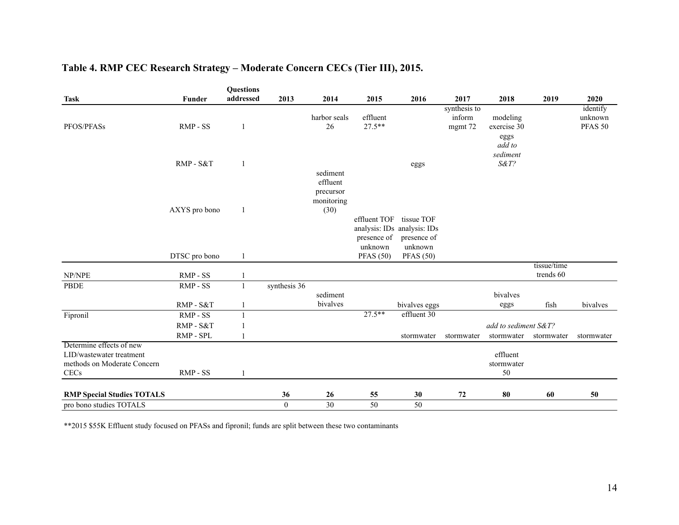#### **Table 4. RMP CEC Research Strategy – Moderate Concern CECs (Tier III), 2015.**

|                                                                                             |                      | <b>Questions</b> |                |                                             |                                        |                                                                     |                                   |                                           |                          |                                |
|---------------------------------------------------------------------------------------------|----------------------|------------------|----------------|---------------------------------------------|----------------------------------------|---------------------------------------------------------------------|-----------------------------------|-------------------------------------------|--------------------------|--------------------------------|
| <b>Task</b>                                                                                 | <b>Funder</b>        | addressed        | 2013           | 2014                                        | 2015                                   | 2016                                                                | 2017                              | 2018                                      | 2019                     | 2020                           |
| PFOS/PFASs                                                                                  | RMP - SS             | $\mathbf{1}$     |                | harbor seals<br>26                          | effluent<br>$27.5**$                   |                                                                     | synthesis to<br>inform<br>mgmt 72 | modeling<br>exercise 30<br>eggs<br>add to |                          | identify<br>unknown<br>PFAS 50 |
|                                                                                             | RMP - S&T            | $\mathbf{1}$     |                | sediment                                    |                                        | eggs                                                                |                                   | sediment<br>S&T?                          |                          |                                |
|                                                                                             | AXYS pro bono        | $\mathbf{1}$     |                | effluent<br>precursor<br>monitoring<br>(30) |                                        |                                                                     |                                   |                                           |                          |                                |
|                                                                                             |                      |                  |                |                                             | effluent TOF<br>presence of<br>unknown | tissue TOF<br>analysis: IDs analysis: IDs<br>presence of<br>unknown |                                   |                                           |                          |                                |
|                                                                                             | DTSC pro bono        | $\mathbf{1}$     |                |                                             | <b>PFAS</b> (50)                       | <b>PFAS</b> (50)                                                    |                                   |                                           |                          |                                |
| NP/NPE                                                                                      | RMP - SS             | -1               |                |                                             |                                        |                                                                     |                                   |                                           | tissue/time<br>trends 60 |                                |
| PBDE                                                                                        | RMP - SS             | -1               | synthesis 36   |                                             |                                        |                                                                     |                                   |                                           |                          |                                |
|                                                                                             | RMP-S&T              | $\mathbf{1}$     |                | sediment<br>bivalves                        |                                        | bivalves eggs                                                       |                                   | bivalves<br>eggs                          | fish                     | bivalves                       |
| Fipronil                                                                                    | RMP - SS             | $\mathbf{1}$     |                |                                             | $27.5***$                              | effluent 30                                                         |                                   |                                           |                          |                                |
|                                                                                             | RMP-S&T<br>RMP - SPL |                  |                |                                             |                                        | stormwater                                                          | stormwater                        | add to sediment S&T?<br>stormwater        | stormwater               | stormwater                     |
| Determine effects of new<br>LID/wastewater treatment<br>methods on Moderate Concern<br>CECs | RMP - SS             | 1                |                |                                             |                                        |                                                                     |                                   | effluent<br>stormwater<br>50              |                          |                                |
| <b>RMP Special Studies TOTALS</b>                                                           |                      |                  | 36             | 26                                          | 55                                     | 30                                                                  | 72                                | 80                                        | 60                       | 50                             |
| pro bono studies TOTALS                                                                     |                      |                  | $\overline{0}$ | 30                                          | 50                                     | 50                                                                  |                                   |                                           |                          |                                |

\*\*2015 \$55K Effluent study focused on PFASs and fipronil; funds are split between these two contaminants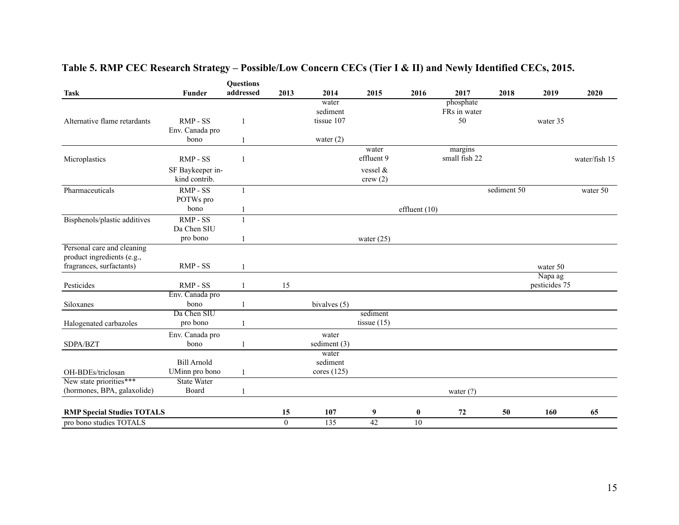|                                                                                      |                                      | <b>Questions</b><br>addressed |                  |                                    |                           |                 |                          |             |                          |               |
|--------------------------------------------------------------------------------------|--------------------------------------|-------------------------------|------------------|------------------------------------|---------------------------|-----------------|--------------------------|-------------|--------------------------|---------------|
| <b>Task</b>                                                                          | <b>Funder</b>                        |                               | 2013             | 2014<br>water                      | 2015                      | 2016            | 2017<br>phosphate        | 2018        | 2019                     | 2020          |
| Alternative flame retardants                                                         | RMP - SS<br>Env. Canada pro          | $\mathbf{1}$                  |                  | sediment<br>tissue 107             |                           |                 | FRs in water<br>50       |             | water 35                 |               |
|                                                                                      | bono                                 | 1                             |                  | water $(2)$                        |                           |                 |                          |             |                          |               |
| Microplastics                                                                        | RMP - SS                             | $\mathbf{1}$                  |                  |                                    | water<br>effluent 9       |                 | margins<br>small fish 22 |             |                          | water/fish 15 |
|                                                                                      | SF Baykeeper in-<br>kind contrib.    |                               |                  |                                    | vessel &<br>crew(2)       |                 |                          |             |                          |               |
| Pharmaceuticals                                                                      | RMP - SS<br>POTWs pro                | 1                             |                  |                                    |                           |                 |                          | sediment 50 |                          | water 50      |
|                                                                                      | bono                                 | 1                             |                  |                                    |                           | effluent $(10)$ |                          |             |                          |               |
| Bisphenols/plastic additives                                                         | $RMP - SS$<br>Da Chen SIU            | $\mathbf{1}$                  |                  |                                    |                           |                 |                          |             |                          |               |
|                                                                                      | pro bono                             | 1                             |                  |                                    | water $(25)$              |                 |                          |             |                          |               |
| Personal care and cleaning<br>product ingredients (e.g.,<br>fragrances, surfactants) | RMP-SS                               | $\mathbf{1}$                  |                  |                                    |                           |                 |                          |             | water 50                 |               |
| Pesticides                                                                           | RMP - SS                             | 1                             | 15               |                                    |                           |                 |                          |             | Napa ag<br>pesticides 75 |               |
|                                                                                      | Env. Canada pro                      |                               |                  |                                    |                           |                 |                          |             |                          |               |
| Siloxanes                                                                            | bono                                 | 1                             |                  | bivalves (5)                       |                           |                 |                          |             |                          |               |
| Halogenated carbazoles                                                               | Da Chen SIU<br>pro bono              | 1                             |                  |                                    | sediment<br>tissue $(15)$ |                 |                          |             |                          |               |
| SDPA/BZT                                                                             | Env. Canada pro<br>bono              | 1                             |                  | water<br>sediment $(3)$            |                           |                 |                          |             |                          |               |
| OH-BDEs/triclosan                                                                    | <b>Bill Arnold</b><br>UMinn pro bono | $\mathbf{1}$                  |                  | water<br>sediment<br>cores $(125)$ |                           |                 |                          |             |                          |               |
| New state priorities***                                                              | <b>State Water</b>                   |                               |                  |                                    |                           |                 |                          |             |                          |               |
| (hormones, BPA, galaxolide)                                                          | Board                                | $\mathbf{1}$                  |                  |                                    |                           |                 | water $(?)$              |             |                          |               |
| <b>RMP Special Studies TOTALS</b>                                                    |                                      |                               | 15               | 107                                | 9                         | $\bf{0}$        | 72                       | 50          | 160                      | 65            |
| pro bono studies TOTALS                                                              |                                      |                               | $\boldsymbol{0}$ | 135                                | $\overline{42}$           | 10              |                          |             |                          |               |

# **Table 5. RMP CEC Research Strategy – Possible/Low Concern CECs (Tier I & II) and Newly Identified CECs, 2015.**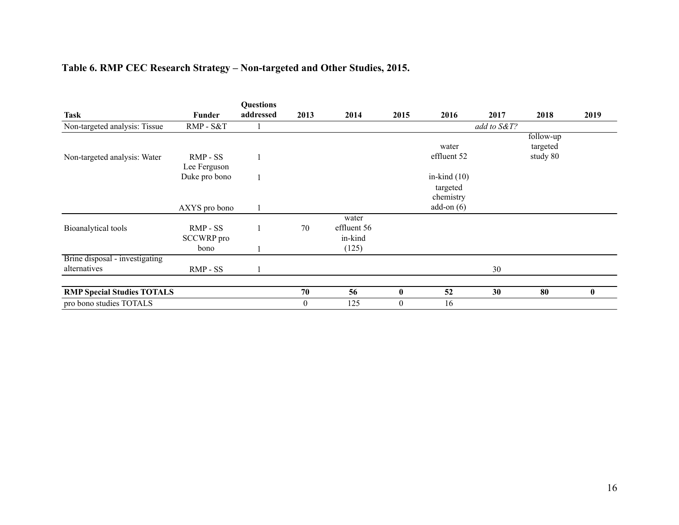# **Table 6. RMP CEC Research Strategy – Non-targeted and Other Studies, 2015.**

|                                   |                   | <b>Questions</b> |              |             |              |                |             |           |              |
|-----------------------------------|-------------------|------------------|--------------|-------------|--------------|----------------|-------------|-----------|--------------|
| <b>Task</b>                       | Funder            | addressed        | 2013         | 2014        | 2015         | 2016           | 2017        | 2018      | 2019         |
| Non-targeted analysis: Tissue     | RMP - S&T         |                  |              |             |              |                | add to S&T? |           |              |
|                                   |                   |                  |              |             |              |                |             | follow-up |              |
|                                   |                   |                  |              |             |              | water          |             | targeted  |              |
| Non-targeted analysis: Water      | RMP - SS          |                  |              |             |              | effluent 52    |             | study 80  |              |
|                                   | Lee Ferguson      |                  |              |             |              |                |             |           |              |
|                                   | Duke pro bono     |                  |              |             |              | in-kind $(10)$ |             |           |              |
|                                   |                   |                  |              |             |              | targeted       |             |           |              |
|                                   |                   |                  |              |             |              | chemistry      |             |           |              |
|                                   | AXYS pro bono     | 1                |              |             |              | add-on $(6)$   |             |           |              |
|                                   |                   |                  |              | water       |              |                |             |           |              |
| Bioanalytical tools               | $RMP - SS$        |                  | 70           | effluent 56 |              |                |             |           |              |
|                                   | <b>SCCWRP</b> pro |                  |              | in-kind     |              |                |             |           |              |
|                                   | bono              |                  |              | (125)       |              |                |             |           |              |
| Brine disposal - investigating    |                   |                  |              |             |              |                |             |           |              |
| alternatives                      | RMP - SS          |                  |              |             |              |                | 30          |           |              |
| <b>RMP Special Studies TOTALS</b> |                   |                  | 70           | 56          | $\bf{0}$     | 52             | 30          | 80        | $\mathbf{0}$ |
| pro bono studies TOTALS           |                   |                  | $\mathbf{0}$ | 125         | $\mathbf{0}$ | 16             |             |           |              |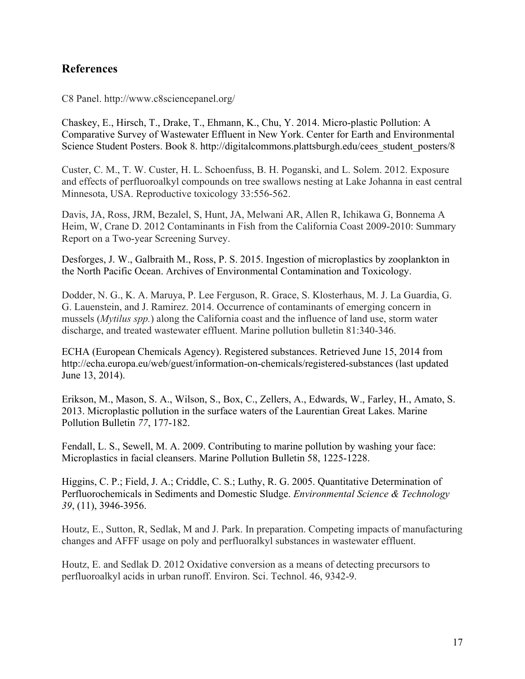### **References**

C8 Panel. http://www.c8sciencepanel.org/

Chaskey, E., Hirsch, T., Drake, T., Ehmann, K., Chu, Y. 2014. Micro-plastic Pollution: A Comparative Survey of Wastewater Effluent in New York. Center for Earth and Environmental Science Student Posters. Book 8. http://digitalcommons.plattsburgh.edu/cees\_student\_posters/8

Custer, C. M., T. W. Custer, H. L. Schoenfuss, B. H. Poganski, and L. Solem. 2012. Exposure and effects of perfluoroalkyl compounds on tree swallows nesting at Lake Johanna in east central Minnesota, USA. Reproductive toxicology 33:556-562.

Davis, JA, Ross, JRM, Bezalel, S, Hunt, JA, Melwani AR, Allen R, Ichikawa G, Bonnema A Heim, W, Crane D. 2012 Contaminants in Fish from the California Coast 2009-2010: Summary Report on a Two-year Screening Survey.

Desforges, J. W., Galbraith M., Ross, P. S. 2015. Ingestion of microplastics by zooplankton in the North Pacific Ocean. Archives of Environmental Contamination and Toxicology.

Dodder, N. G., K. A. Maruya, P. Lee Ferguson, R. Grace, S. Klosterhaus, M. J. La Guardia, G. G. Lauenstein, and J. Ramirez. 2014. Occurrence of contaminants of emerging concern in mussels (*Mytilus spp.*) along the California coast and the influence of land use, storm water discharge, and treated wastewater effluent. Marine pollution bulletin 81:340-346.

ECHA (European Chemicals Agency). Registered substances. Retrieved June 15, 2014 from http://echa.europa.eu/web/guest/information-on-chemicals/registered-substances (last updated June 13, 2014).

Erikson, M., Mason, S. A., Wilson, S., Box, C., Zellers, A., Edwards, W., Farley, H., Amato, S. 2013. Microplastic pollution in the surface waters of the Laurentian Great Lakes. Marine Pollution Bulletin *77*, 177-182.

Fendall, L. S., Sewell, M. A. 2009. Contributing to marine pollution by washing your face: Microplastics in facial cleansers. Marine Pollution Bulletin 58, 1225-1228.

Higgins, C. P.; Field, J. A.; Criddle, C. S.; Luthy, R. G. 2005. Quantitative Determination of Perfluorochemicals in Sediments and Domestic Sludge. *Environmental Science & Technology 39*, (11), 3946-3956.

Houtz, E., Sutton, R, Sedlak, M and J. Park. In preparation. Competing impacts of manufacturing changes and AFFF usage on poly and perfluoralkyl substances in wastewater effluent.

Houtz, E. and Sedlak D. 2012 Oxidative conversion as a means of detecting precursors to perfluoroalkyl acids in urban runoff. Environ. Sci. Technol. 46, 9342-9.